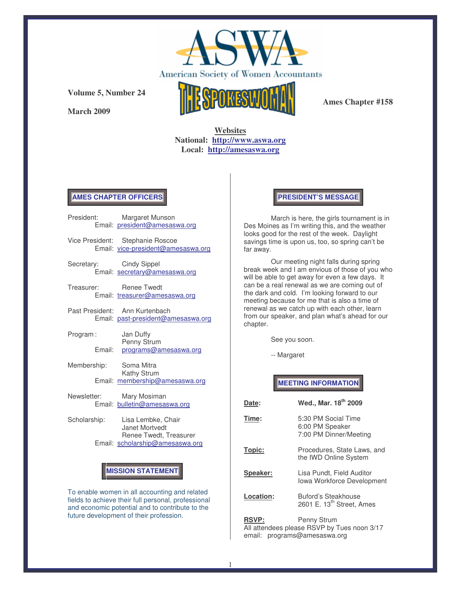

**March 2009**



**Ames Chapter #158**

**Websites National: http://www.aswa.org Local: http://amesaswa.org**

### **AMES CHAPTER OFFICERS**

| President:   |        | Margaret Munson<br>Email: president@amesaswa.org                       |
|--------------|--------|------------------------------------------------------------------------|
|              |        | Vice President: Stephanie Roscoe<br>Email: vice-president@amesaswa.org |
| Secretary:   |        | <b>Cindy Sippel</b><br>Email: secretary@amesaswa.org                   |
| Treasurer:   |        | <b>Renee Twedt</b><br>Email: treasurer@amesaswa.org                    |
|              |        | Past President: Ann Kurtenbach<br>Email: past-president@amesaswa.org   |
| Program:     | Fmail: | Jan Duffy<br>Penny Strum<br>programs@amesaswa.org                      |
| Membership:  |        | Soma Mitra<br>Kathy Strum<br>Email: membership@amesaswa.org            |
| Newsletter:  |        | Mary Mosiman<br>Email: bulletin@amesaswa.org                           |
| Scholarship: |        | Lisa Lembke, Chair<br>Janet Mortvedt<br>Renee Twedt, Treasurer         |

Email: scholarship@amesaswa.org

# **MISSION STATEMENT**

To enable women in all accounting and related fields to achieve their full personal, professional and economic potential and to contribute to the future development of their profession.

### **PRESIDENT'S MESSAGE**

March is here, the girls tournament is in Des Moines as I'm writing this, and the weather looks good for the rest of the week. Daylight savings time is upon us, too, so spring can't be far away.

Our meeting night falls during spring break week and I am envious of those of you who will be able to get away for even a few days. It can be a real renewal as we are coming out of the dark and cold. I'm looking forward to our meeting because for me that is also a time of renewal as we catch up with each other, learn from our speaker, and plan what's ahead for our chapter.

See you soon.

-- Margaret

# **MEETING INFORMATION**

| Date:                  | Wed., Mar. 18 <sup>th</sup> 2009                                                    |
|------------------------|-------------------------------------------------------------------------------------|
| Time:                  | 5:30 PM Social Time<br>6:00 PM Speaker<br>7:00 PM Dinner/Meeting                    |
| Topic:                 | Procedures, State Laws, and<br>the IWD Online System                                |
| Speaker:               | Lisa Pundt, Field Auditor<br>Iowa Workforce Development                             |
| Location:              | Buford's Steakhouse<br>2601 E. 13 <sup>th</sup> Street, Ames                        |
| <b>RSVP:</b><br>email: | Penny Strum<br>All attendees please RSVP by Tues noon 3/17<br>programs@amesaswa.org |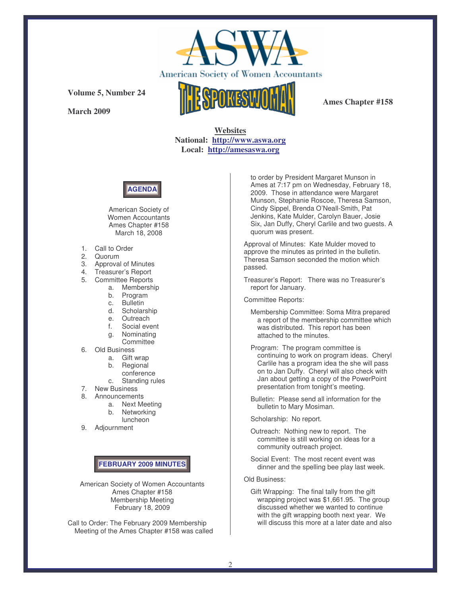

**March 2009**



**Ames Chapter #158**

**Websites National: http://www.aswa.org Local: http://amesaswa.org**



American Society of Women Accountants Ames Chapter #158 March 18, 2008

- 1. Call to Order
- 2. Quorum
- 3. Approval of Minutes
- 4. Treasurer's Report
- 5. Committee Reports
	- a. Membership
	- b. Program
	- c. Bulletin
	- d. Scholarship
	- e. Outreach
	- f. Social event
	- g. Nominating **Committee**
- 6. Old Business
	- a. Gift wrap
	- b. Regional
	- conference
	- c. Standing rules
- 7. New Business
- 8. Announcements
	- a. Next Meeting
	- b. Networking
	- luncheon
- 9. Adjournment

## **FEBRUARY 2009 MINUTES**

American Society of Women Accountants Ames Chapter #158 Membership Meeting February 18, 2009

Call to Order: The February 2009 Membership Meeting of the Ames Chapter #158 was called to order by President Margaret Munson in Ames at 7:17 pm on Wednesday, February 18, 2009. Those in attendance were Margaret Munson, Stephanie Roscoe, Theresa Samson, Cindy Sippel, Brenda O'Neall-Smith, Pat Jenkins, Kate Mulder, Carolyn Bauer, Josie Six, Jan Duffy, Cheryl Carlile and two guests. A quorum was present.

Approval of Minutes: Kate Mulder moved to approve the minutes as printed in the bulletin. Theresa Samson seconded the motion which passed.

Treasurer's Report: There was no Treasurer's report for January.

Committee Reports:

- Membership Committee: Soma Mitra prepared a report of the membership committee which was distributed. This report has been attached to the minutes.
- Program: The program committee is continuing to work on program ideas. Cheryl Carlile has a program idea the she will pass on to Jan Duffy. Cheryl will also check with Jan about getting a copy of the PowerPoint presentation from tonight's meeting.
- Bulletin: Please send all information for the bulletin to Mary Mosiman.

Scholarship: No report.

- Outreach: Nothing new to report. The committee is still working on ideas for a community outreach project.
- Social Event: The most recent event was dinner and the spelling bee play last week.

Old Business:

Gift Wrapping: The final tally from the gift wrapping project was \$1,661.95. The group discussed whether we wanted to continue with the gift wrapping booth next year. We will discuss this more at a later date and also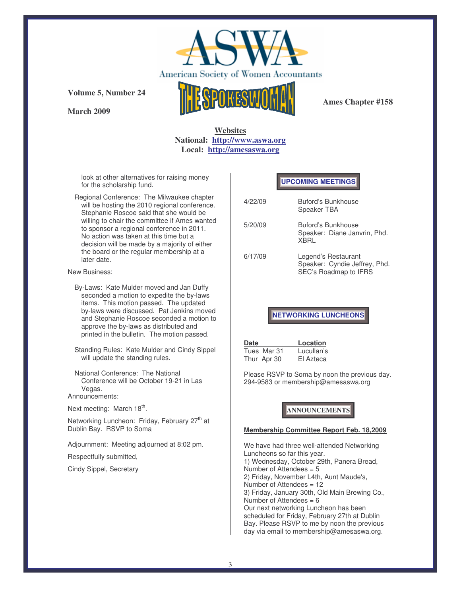

**March 2009**



**Ames Chapter #158**

## **Websites National: http://www.aswa.org Local: http://amesaswa.org**

look at other alternatives for raising money for the scholarship fund.

Regional Conference: The Milwaukee chapter will be hosting the 2010 regional conference. Stephanie Roscoe said that she would be willing to chair the committee if Ames wanted to sponsor a regional conference in 2011. No action was taken at this time but a decision will be made by a majority of either the board or the regular membership at a later date.

New Business:

- By-Laws: Kate Mulder moved and Jan Duffy seconded a motion to expedite the by-laws items. This motion passed. The updated by-laws were discussed. Pat Jenkins moved and Stephanie Roscoe seconded a motion to approve the by-laws as distributed and printed in the bulletin. The motion passed.
- Standing Rules: Kate Mulder and Cindy Sippel will update the standing rules.
- National Conference: The National Conference will be October 19-21 in Las Vegas.

Announcements:

Next meeting: March 18<sup>th</sup>.

Networking Luncheon: Friday, February 27<sup>th</sup> at Dublin Bay. RSVP to Soma

Adjournment: Meeting adjourned at 8:02 pm.

Respectfully submitted,

Cindy Sippel, Secretary

## **UPCOMING MEETINGS**

| 4/22/09 | Buford's Bunkhouse<br>Speaker TBA                                             |
|---------|-------------------------------------------------------------------------------|
| 5/20/09 | Buford's Bunkhouse<br>Speaker: Diane Janvrin, Phd.<br><b>XBRI</b>             |
| 6/17/09 | Legend's Restaurant<br>Speaker: Cyndie Jeffrey, Phd.<br>SEC's Roadmap to IFRS |

#### **NETWORKING LUNCHEONS**

| <b>Date</b> | Location   |
|-------------|------------|
| Tues Mar 31 | Lucullan's |
| Thur Apr 30 | El Azteca  |

Please RSVP to Soma by noon the previous day. 294-9583 or membership@amesaswa.org

# **ANNOUNCEMENTS**

#### **Membership Committee Report Feb. 18,2009**

We have had three well-attended Networking Luncheons so far this year. 1) Wednesday, October 29th, Panera Bread, Number of Attendees  $= 5$ 2) Friday, November L4th, Aunt Maude's, Number of Attendees = 12 3) Friday, January 30th, Old Main Brewing Co., Number of Attendees = 6 Our next networking Luncheon has been scheduled for Friday, February 27th at Dublin Bay. Please RSVP to me by noon the previous day via email to membership@amesaswa.org.